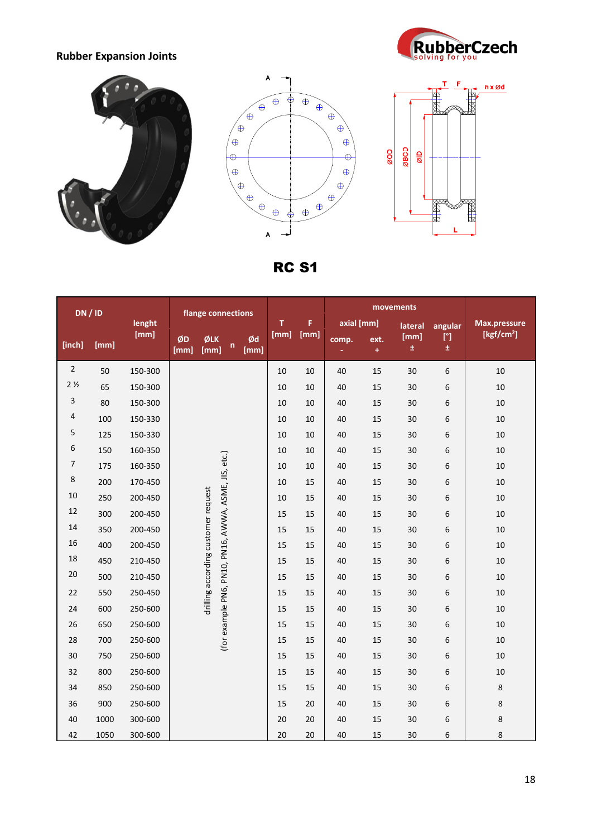









RC S1

| DN/ID          |      |         | flange connections                                                                          |             |                            |              |      |       | movements     |            |            |                        |
|----------------|------|---------|---------------------------------------------------------------------------------------------|-------------|----------------------------|--------------|------|-------|---------------|------------|------------|------------------------|
|                |      | lenght  |                                                                                             |             |                            | $\mathbf{T}$ | F    |       | axial [mm]    |            | angular    | Max.pressure           |
| [inch]         | [mm] | [mm]    | ØD<br>[mm]                                                                                  | ØLK<br>[mm] | Ød<br>$\mathsf{n}$<br>[mm] | [mm]         | [mm] | comp. | ext.<br>$\pm$ | [mm]<br>±. | [<br>$\pm$ | [kgf/cm <sup>2</sup> ] |
| $\overline{2}$ | 50   | 150-300 |                                                                                             |             |                            | 10           | 10   | 40    | 15            | 30         | 6          | 10                     |
| 2 <sub>2</sub> | 65   | 150-300 |                                                                                             |             |                            | 10           | 10   | 40    | 15            | 30         | 6          | $10\,$                 |
| $\overline{3}$ | 80   | 150-300 |                                                                                             |             |                            | 10           | 10   | 40    | 15            | 30         | 6          | $10\,$                 |
| 4              | 100  | 150-330 |                                                                                             |             |                            | 10           | 10   | 40    | 15            | 30         | 6          | 10                     |
| 5              | 125  | 150-330 |                                                                                             |             |                            | 10           | 10   | 40    | 15            | 30         | 6          | $10\,$                 |
| 6              | 150  | 160-350 |                                                                                             |             |                            | 10           | 10   | 40    | 15            | 30         | 6          | $10\,$                 |
| $\overline{7}$ | 175  | 160-350 | (for example PN6, PN10, PN16, AWWA, ASME, JIS, etc.)<br>drilling according customer request |             |                            | 10           | 10   | 40    | 15            | 30         | 6          | $10\,$                 |
| $\,8\,$        | 200  | 170-450 |                                                                                             |             |                            | 10           | 15   | 40    | 15            | 30         | 6          | $10\,$                 |
| 10             | 250  | 200-450 |                                                                                             |             |                            | 10           | 15   | 40    | 15            | 30         | 6          | $10\,$                 |
| 12             | 300  | 200-450 |                                                                                             |             |                            | 15           | 15   | 40    | 15            | 30         | 6          | 10                     |
| 14             | 350  | 200-450 |                                                                                             |             |                            | 15           | 15   | 40    | 15            | 30         | 6          | $10\,$                 |
| 16             | 400  | 200-450 |                                                                                             |             |                            | 15           | 15   | 40    | 15            | 30         | 6          | $10\,$                 |
| 18             | 450  | 210-450 |                                                                                             |             |                            | 15           | 15   | 40    | 15            | 30         | 6          | 10                     |
| 20             | 500  | 210-450 |                                                                                             |             |                            | 15           | 15   | 40    | 15            | 30         | 6          | $10\,$                 |
| 22             | 550  | 250-450 |                                                                                             |             |                            | 15           | 15   | 40    | 15            | 30         | 6          | $10\,$                 |
| 24             | 600  | 250-600 |                                                                                             |             |                            | 15           | 15   | 40    | 15            | 30         | 6          | $10\,$                 |
| 26             | 650  | 250-600 |                                                                                             |             |                            | 15           | 15   | 40    | 15            | 30         | 6          | $10\,$                 |
| 28             | 700  | 250-600 |                                                                                             |             | 15                         | 15           | 40   | 15    | 30            | 6          | $10\,$     |                        |
| 30             | 750  | 250-600 |                                                                                             |             |                            | 15           | 15   | 40    | 15            | 30         | 6          | 10                     |
| 32             | 800  | 250-600 |                                                                                             |             |                            | 15           | 15   | 40    | 15            | 30         | 6          | $10\,$                 |
| 34             | 850  | 250-600 |                                                                                             |             |                            | 15           | 15   | 40    | 15            | 30         | 6          | 8                      |
| 36             | 900  | 250-600 |                                                                                             |             |                            | 15           | 20   | 40    | 15            | 30         | 6          | 8                      |
| 40             | 1000 | 300-600 |                                                                                             |             |                            | 20           | 20   | 40    | 15            | 30         | 6          | 8                      |
| 42             | 1050 | 300-600 |                                                                                             |             |                            | 20           | 20   | 40    | 15            | 30         | 6          | 8                      |